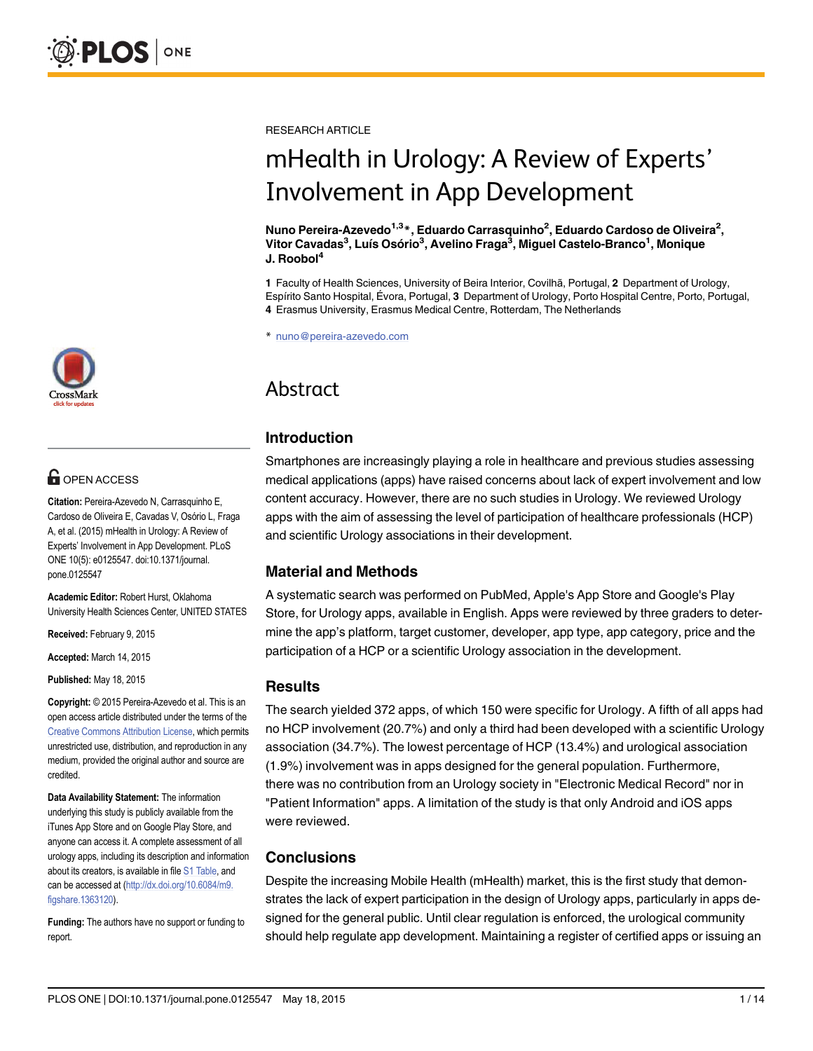# **G** OPEN ACCESS

Citation: Pereira-Azevedo N, Carrasquinho E, Cardoso de Oliveira E, Cavadas V, Osório L, Fraga A, et al. (2015) mHealth in Urology: A Review of Experts' Involvement in App Development. PLoS ONE 10(5): e0125547. doi:10.1371/journal. pone.0125547

Academic Editor: Robert Hurst, Oklahoma University Health Sciences Center, UNITED STATES

Received: February 9, 2015

Accepted: March 14, 2015

Published: May 18, 2015

Copyright: © 2015 Pereira-Azevedo et al. This is an open access article distributed under the terms of the [Creative Commons Attribution License,](http://creativecommons.org/licenses/by/4.0/) which permits unrestricted use, distribution, and reproduction in any medium, provided the original author and source are credited.

Data Availability Statement: The information underlying this study is publicly available from the iTunes App Store and on Google Play Store, and anyone can access it. A complete assessment of all urology apps, including its description and information about its creators, is available in file [S1 Table](#page-12-0), and can be accessed at ([http://dx.doi.org/10.6084/m9.](http://dx.doi.org/10.6084/m9.figshare.1363120) [figshare.1363120](http://dx.doi.org/10.6084/m9.figshare.1363120)).

Funding: The authors have no support or funding to report.

RESEARCH ARTICLE

# mHealth in Urology: A Review of Experts'

Involvement in App Development Nuno Pereira-Azevedo1,3\*, Eduardo Carrasquinho2 , Eduardo Cardoso de Oliveira<sup>2</sup> , Vitor Cavadas<sup>3</sup>, Luís Osório<sup>3</sup>, Avelino Fraga<sup>3</sup>, Miguel Castelo-Branco<sup>1</sup>, Monique J. Roobol $<sup>4</sup>$ </sup>

1 Faculty of Health Sciences, University of Beira Interior, Covilhã, Portugal, 2 Department of Urology, Espírito Santo Hospital, Évora, Portugal, 3 Department of Urology, Porto Hospital Centre, Porto, Portugal, 4 Erasmus University, Erasmus Medical Centre, Rotterdam, The Netherlands

\* nuno@pereira-azevedo.com

# Abstract Abstract

# Introduction

Smartphones are increasingly playing a role in healthcare and previous studies assessing medical applications (apps) have raised concerns about lack of expert involvement and low content accuracy. However, there are no such studies in Urology. We reviewed Urology apps with the aim of assessing the level of participation of healthcare professionals (HCP) and scientific Urology associations in their development.

# Material and Methods

A systematic search was performed on PubMed, Apple's App Store and Google's Play Store, for Urology apps, available in English. Apps were reviewed by three graders to determine the app's platform, target customer, developer, app type, app category, price and the participation of a HCP or a scientific Urology association in the development.

# **Results**

The search yielded 372 apps, of which 150 were specific for Urology. A fifth of all apps had no HCP involvement (20.7%) and only a third had been developed with a scientific Urology association (34.7%). The lowest percentage of HCP (13.4%) and urological association (1.9%) involvement was in apps designed for the general population. Furthermore, there was no contribution from an Urology society in "Electronic Medical Record" nor in "Patient Information" apps. A limitation of the study is that only Android and iOS apps were reviewed.

# Conclusions

Despite the increasing Mobile Health (mHealth) market, this is the first study that demonstrates the lack of expert participation in the design of Urology apps, particularly in apps designed for the general public. Until clear regulation is enforced, the urological community should help regulate app development. Maintaining a register of certified apps or issuing an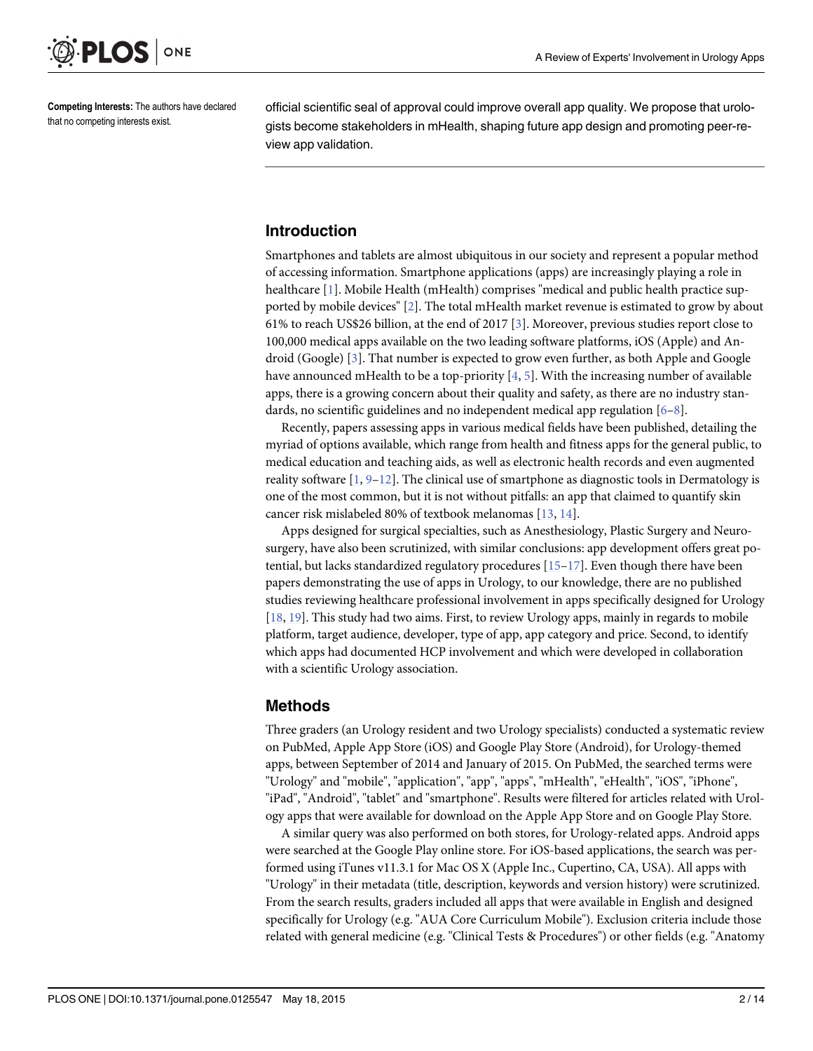<span id="page-1-0"></span>

Competing Interests: The authors have declared that no competing interests exist.

official scientific seal of approval could improve overall app quality. We propose that urologists become stakeholders in mHealth, shaping future app design and promoting peer-review app validation.

# Introduction

Smartphones and tablets are almost ubiquitous in our society and represent a popular method of accessing information. Smartphone applications (apps) are increasingly playing a role in healthcare [[1](#page-12-0)]. Mobile Health (mHealth) comprises "medical and public health practice supported by mobile devices" [\[2](#page-12-0)]. The total mHealth market revenue is estimated to grow by about 61% to reach US\$26 billion, at the end of 2017 [\[3](#page-12-0)]. Moreover, previous studies report close to 100,000 medical apps available on the two leading software platforms, iOS (Apple) and Android (Google) [[3\]](#page-12-0). That number is expected to grow even further, as both Apple and Google have announced mHealth to be a top-priority  $[4, 5]$  $[4, 5]$  $[4, 5]$  $[4, 5]$ . With the increasing number of available apps, there is a growing concern about their quality and safety, as there are no industry standards, no scientific guidelines and no independent medical app regulation  $[6-8]$  $[6-8]$  $[6-8]$  $[6-8]$  $[6-8]$ .

Recently, papers assessing apps in various medical fields have been published, detailing the myriad of options available, which range from health and fitness apps for the general public, to medical education and teaching aids, as well as electronic health records and even augmented reality software  $[1, 9-12]$  $[1, 9-12]$  $[1, 9-12]$  $[1, 9-12]$  $[1, 9-12]$  $[1, 9-12]$ . The clinical use of smartphone as diagnostic tools in Dermatology is one of the most common, but it is not without pitfalls: an app that claimed to quantify skin cancer risk mislabeled 80% of textbook melanomas [[13](#page-12-0), [14](#page-13-0)].

Apps designed for surgical specialties, such as Anesthesiology, Plastic Surgery and Neurosurgery, have also been scrutinized, with similar conclusions: app development offers great potential, but lacks standardized regulatory procedures  $[15-17]$  $[15-17]$  $[15-17]$  $[15-17]$  $[15-17]$ . Even though there have been papers demonstrating the use of apps in Urology, to our knowledge, there are no published studies reviewing healthcare professional involvement in apps specifically designed for Urology [\[18](#page-13-0), [19\]](#page-13-0). This study had two aims. First, to review Urology apps, mainly in regards to mobile platform, target audience, developer, type of app, app category and price. Second, to identify which apps had documented HCP involvement and which were developed in collaboration with a scientific Urology association.

# Methods

Three graders (an Urology resident and two Urology specialists) conducted a systematic review on PubMed, Apple App Store (iOS) and Google Play Store (Android), for Urology-themed apps, between September of 2014 and January of 2015. On PubMed, the searched terms were "Urology" and "mobile", "application", "app", "apps", "mHealth", "eHealth", "iOS", "iPhone", "iPad", "Android", "tablet" and "smartphone". Results were filtered for articles related with Urology apps that were available for download on the Apple App Store and on Google Play Store.

A similar query was also performed on both stores, for Urology-related apps. Android apps were searched at the Google Play online store. For iOS-based applications, the search was performed using iTunes v11.3.1 for Mac OS X (Apple Inc., Cupertino, CA, USA). All apps with "Urology" in their metadata (title, description, keywords and version history) were scrutinized. From the search results, graders included all apps that were available in English and designed specifically for Urology (e.g. "AUA Core Curriculum Mobile"). Exclusion criteria include those related with general medicine (e.g. "Clinical Tests & Procedures") or other fields (e.g. "Anatomy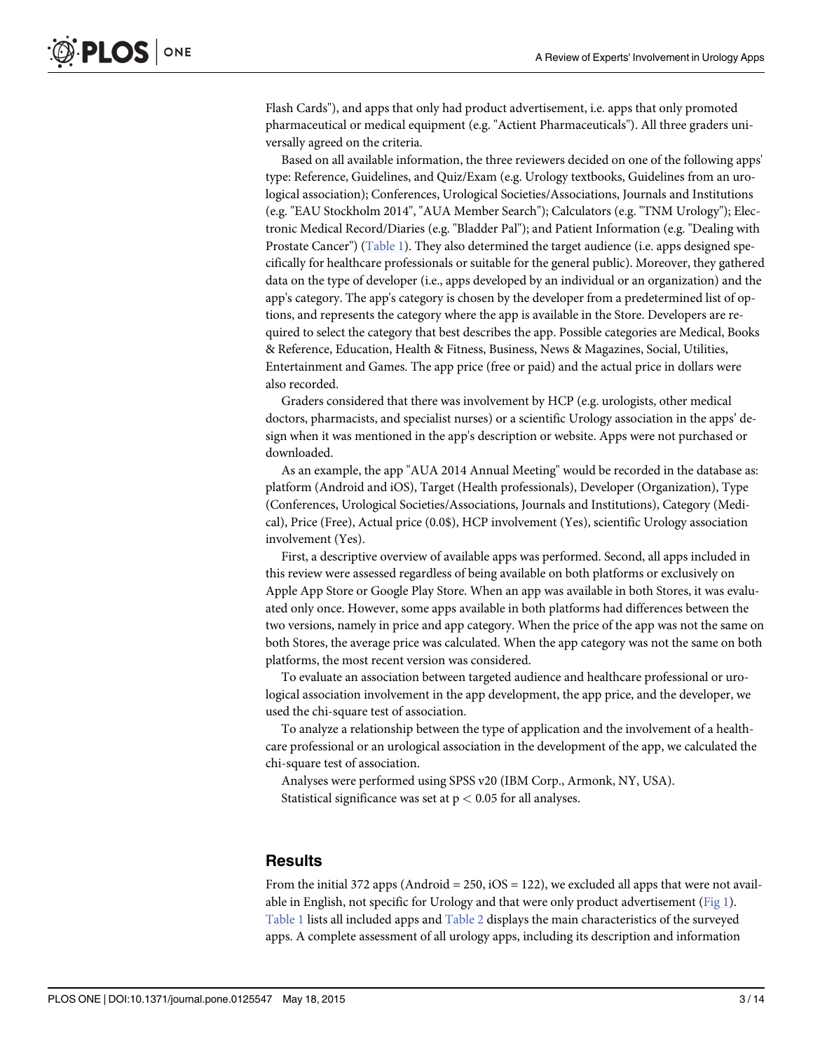<span id="page-2-0"></span>Flash Cards"), and apps that only had product advertisement, i.e. apps that only promoted pharmaceutical or medical equipment (e.g. "Actient Pharmaceuticals"). All three graders universally agreed on the criteria.

Based on all available information, the three reviewers decided on one of the following apps' type: Reference, Guidelines, and Quiz/Exam (e.g. Urology textbooks, Guidelines from an urological association); Conferences, Urological Societies/Associations, Journals and Institutions (e.g. "EAU Stockholm 2014", "AUA Member Search"); Calculators (e.g. "TNM Urology"); Electronic Medical Record/Diaries (e.g. "Bladder Pal"); and Patient Information (e.g. "Dealing with Prostate Cancer") [\(Table 1](#page-3-0)). They also determined the target audience (i.e. apps designed specifically for healthcare professionals or suitable for the general public). Moreover, they gathered data on the type of developer (i.e., apps developed by an individual or an organization) and the app's category. The app's category is chosen by the developer from a predetermined list of options, and represents the category where the app is available in the Store. Developers are required to select the category that best describes the app. Possible categories are Medical, Books & Reference, Education, Health & Fitness, Business, News & Magazines, Social, Utilities, Entertainment and Games. The app price (free or paid) and the actual price in dollars were also recorded.

Graders considered that there was involvement by HCP (e.g. urologists, other medical doctors, pharmacists, and specialist nurses) or a scientific Urology association in the apps' design when it was mentioned in the app's description or website. Apps were not purchased or downloaded.

As an example, the app "AUA 2014 Annual Meeting" would be recorded in the database as: platform (Android and iOS), Target (Health professionals), Developer (Organization), Type (Conferences, Urological Societies/Associations, Journals and Institutions), Category (Medical), Price (Free), Actual price (0.0\$), HCP involvement (Yes), scientific Urology association involvement (Yes).

First, a descriptive overview of available apps was performed. Second, all apps included in this review were assessed regardless of being available on both platforms or exclusively on Apple App Store or Google Play Store. When an app was available in both Stores, it was evaluated only once. However, some apps available in both platforms had differences between the two versions, namely in price and app category. When the price of the app was not the same on both Stores, the average price was calculated. When the app category was not the same on both platforms, the most recent version was considered.

To evaluate an association between targeted audience and healthcare professional or urological association involvement in the app development, the app price, and the developer, we used the chi-square test of association.

To analyze a relationship between the type of application and the involvement of a healthcare professional or an urological association in the development of the app, we calculated the chi-square test of association.

Analyses were performed using SPSS v20 (IBM Corp., Armonk, NY, USA). Statistical significance was set at  $p < 0.05$  for all analyses.

# **Results**

From the initial 372 apps (Android = 250,  $iOS = 122$ ), we excluded all apps that were not available in English, not specific for Urology and that were only product advertisement ([Fig 1](#page-8-0)). [Table 1](#page-3-0) lists all included apps and [Table 2](#page-9-0) displays the main characteristics of the surveyed apps. A complete assessment of all urology apps, including its description and information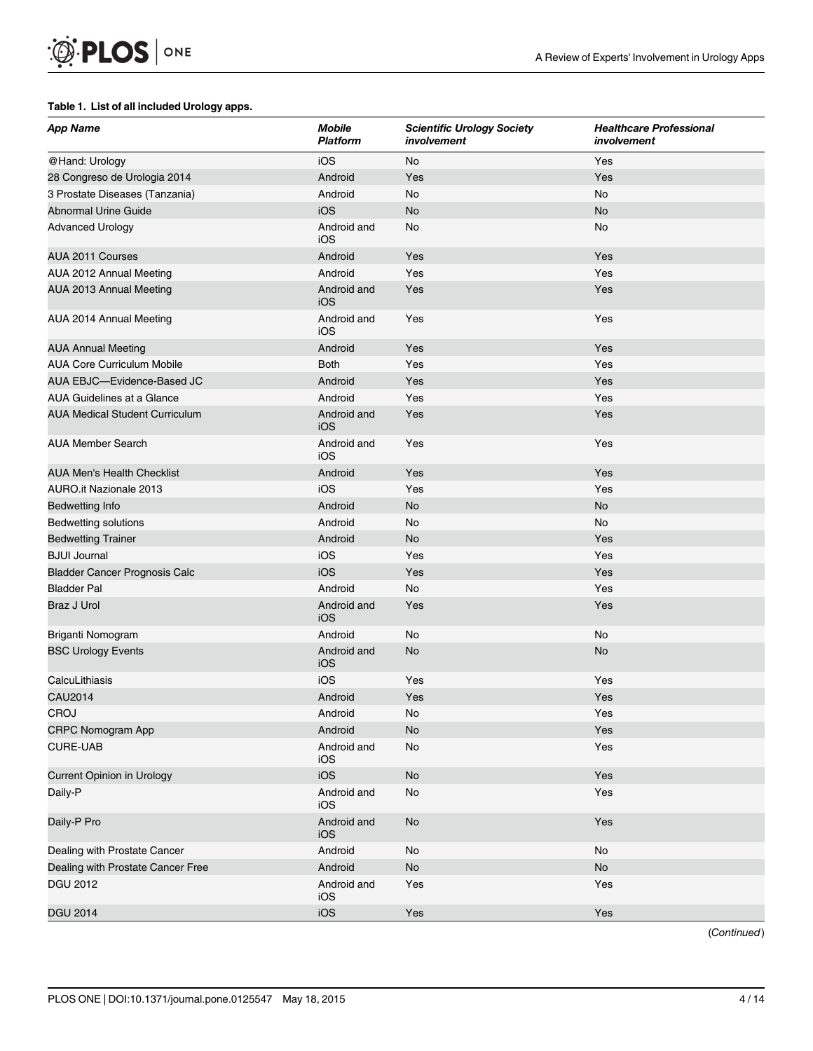#### <span id="page-3-0"></span>[Table 1.](#page-2-0) List of all included Urology apps.

| iOS<br>No<br>Yes<br>@Hand: Urology<br>Android<br>28 Congreso de Urologia 2014<br>Yes<br>Yes<br>No<br>Android<br><b>No</b><br>3 Prostate Diseases (Tanzania)<br>iOS<br><b>No</b><br><b>No</b><br><b>Abnormal Urine Guide</b><br>Android and<br><b>Advanced Urology</b><br>No<br>No<br>iOS<br>Yes<br>AUA 2011 Courses<br>Android<br>Yes<br>Android<br>Yes<br>Yes<br>AUA 2012 Annual Meeting<br>Android and<br>Yes<br>AUA 2013 Annual Meeting<br>Yes<br>iOS<br>Android and<br>AUA 2014 Annual Meeting<br>Yes<br>Yes<br>iOS<br>Android<br>Yes<br><b>AUA Annual Meeting</b><br>Yes | <b>App Name</b>                   | <b>Mobile</b><br><b>Platform</b> | <b>Scientific Urology Society</b><br>involvement | <b>Healthcare Professional</b><br>involvement |
|-------------------------------------------------------------------------------------------------------------------------------------------------------------------------------------------------------------------------------------------------------------------------------------------------------------------------------------------------------------------------------------------------------------------------------------------------------------------------------------------------------------------------------------------------------------------------------|-----------------------------------|----------------------------------|--------------------------------------------------|-----------------------------------------------|
|                                                                                                                                                                                                                                                                                                                                                                                                                                                                                                                                                                               |                                   |                                  |                                                  |                                               |
|                                                                                                                                                                                                                                                                                                                                                                                                                                                                                                                                                                               |                                   |                                  |                                                  |                                               |
|                                                                                                                                                                                                                                                                                                                                                                                                                                                                                                                                                                               |                                   |                                  |                                                  |                                               |
|                                                                                                                                                                                                                                                                                                                                                                                                                                                                                                                                                                               |                                   |                                  |                                                  |                                               |
|                                                                                                                                                                                                                                                                                                                                                                                                                                                                                                                                                                               |                                   |                                  |                                                  |                                               |
|                                                                                                                                                                                                                                                                                                                                                                                                                                                                                                                                                                               |                                   |                                  |                                                  |                                               |
|                                                                                                                                                                                                                                                                                                                                                                                                                                                                                                                                                                               |                                   |                                  |                                                  |                                               |
|                                                                                                                                                                                                                                                                                                                                                                                                                                                                                                                                                                               |                                   |                                  |                                                  |                                               |
|                                                                                                                                                                                                                                                                                                                                                                                                                                                                                                                                                                               |                                   |                                  |                                                  |                                               |
|                                                                                                                                                                                                                                                                                                                                                                                                                                                                                                                                                                               |                                   |                                  |                                                  |                                               |
|                                                                                                                                                                                                                                                                                                                                                                                                                                                                                                                                                                               | <b>AUA Core Curriculum Mobile</b> | <b>Both</b>                      | Yes                                              | Yes                                           |
| AUA EBJC-Evidence-Based JC<br>Android<br>Yes<br>Yes                                                                                                                                                                                                                                                                                                                                                                                                                                                                                                                           |                                   |                                  |                                                  |                                               |
| Android<br>Yes<br>Yes<br>AUA Guidelines at a Glance                                                                                                                                                                                                                                                                                                                                                                                                                                                                                                                           |                                   |                                  |                                                  |                                               |
| Yes<br><b>AUA Medical Student Curriculum</b><br>Android and<br>Yes<br><b>iOS</b>                                                                                                                                                                                                                                                                                                                                                                                                                                                                                              |                                   |                                  |                                                  |                                               |
| Android and<br>Yes<br>Yes<br><b>AUA Member Search</b><br>iOS                                                                                                                                                                                                                                                                                                                                                                                                                                                                                                                  |                                   |                                  |                                                  |                                               |
| <b>AUA Men's Health Checklist</b><br>Android<br>Yes<br>Yes                                                                                                                                                                                                                                                                                                                                                                                                                                                                                                                    |                                   |                                  |                                                  |                                               |
| iOS<br>Yes<br><b>AURO.it Nazionale 2013</b><br>Yes                                                                                                                                                                                                                                                                                                                                                                                                                                                                                                                            |                                   |                                  |                                                  |                                               |
| Android<br><b>No</b><br><b>No</b><br><b>Bedwetting Info</b>                                                                                                                                                                                                                                                                                                                                                                                                                                                                                                                   |                                   |                                  |                                                  |                                               |
| Android<br>No<br>No<br><b>Bedwetting solutions</b>                                                                                                                                                                                                                                                                                                                                                                                                                                                                                                                            |                                   |                                  |                                                  |                                               |
| Yes<br><b>Bedwetting Trainer</b><br>Android<br>No                                                                                                                                                                                                                                                                                                                                                                                                                                                                                                                             |                                   |                                  |                                                  |                                               |
| <b>BJUI Journal</b><br>iOS<br>Yes<br>Yes                                                                                                                                                                                                                                                                                                                                                                                                                                                                                                                                      |                                   |                                  |                                                  |                                               |
| iOS<br>Yes<br>Yes<br><b>Bladder Cancer Prognosis Calc</b>                                                                                                                                                                                                                                                                                                                                                                                                                                                                                                                     |                                   |                                  |                                                  |                                               |
| Android<br>Yes<br><b>Bladder Pal</b><br>No                                                                                                                                                                                                                                                                                                                                                                                                                                                                                                                                    |                                   |                                  |                                                  |                                               |
| <b>Braz J Urol</b><br>Yes<br>Android and<br>Yes<br><b>iOS</b>                                                                                                                                                                                                                                                                                                                                                                                                                                                                                                                 |                                   |                                  |                                                  |                                               |
| No<br>Android<br>No<br>Briganti Nomogram                                                                                                                                                                                                                                                                                                                                                                                                                                                                                                                                      |                                   |                                  |                                                  |                                               |
| No<br><b>BSC Urology Events</b><br>Android and<br><b>No</b><br>iOS                                                                                                                                                                                                                                                                                                                                                                                                                                                                                                            |                                   |                                  |                                                  |                                               |
| iOS<br>Yes<br>CalcuLithiasis<br>Yes                                                                                                                                                                                                                                                                                                                                                                                                                                                                                                                                           |                                   |                                  |                                                  |                                               |
| <b>CAU2014</b><br>Android<br>Yes<br>Yes                                                                                                                                                                                                                                                                                                                                                                                                                                                                                                                                       |                                   |                                  |                                                  |                                               |
| CROJ<br>Yes<br>Android<br>No                                                                                                                                                                                                                                                                                                                                                                                                                                                                                                                                                  |                                   |                                  |                                                  |                                               |
| <b>CRPC Nomogram App</b><br>Yes<br>Android<br><b>No</b>                                                                                                                                                                                                                                                                                                                                                                                                                                                                                                                       |                                   |                                  |                                                  |                                               |
| <b>CURE-UAB</b><br>Yes<br>Android and<br>No<br>iOS                                                                                                                                                                                                                                                                                                                                                                                                                                                                                                                            |                                   |                                  |                                                  |                                               |
| iOS<br>No<br>Yes<br>Current Opinion in Urology                                                                                                                                                                                                                                                                                                                                                                                                                                                                                                                                |                                   |                                  |                                                  |                                               |
| Yes<br>Daily-P<br>Android and<br>No<br>iOS                                                                                                                                                                                                                                                                                                                                                                                                                                                                                                                                    |                                   |                                  |                                                  |                                               |
| Daily-P Pro<br>Android and<br>$\mathsf{No}$<br>Yes<br>iOS                                                                                                                                                                                                                                                                                                                                                                                                                                                                                                                     |                                   |                                  |                                                  |                                               |
| Dealing with Prostate Cancer<br>Android<br>No<br>No                                                                                                                                                                                                                                                                                                                                                                                                                                                                                                                           |                                   |                                  |                                                  |                                               |
| Android<br>No<br>Dealing with Prostate Cancer Free<br>No                                                                                                                                                                                                                                                                                                                                                                                                                                                                                                                      |                                   |                                  |                                                  |                                               |
| Android and<br>Yes<br>DGU 2012<br>Yes<br>iOS                                                                                                                                                                                                                                                                                                                                                                                                                                                                                                                                  |                                   |                                  |                                                  |                                               |
| iOS<br>Yes<br><b>DGU 2014</b><br>Yes                                                                                                                                                                                                                                                                                                                                                                                                                                                                                                                                          |                                   |                                  |                                                  |                                               |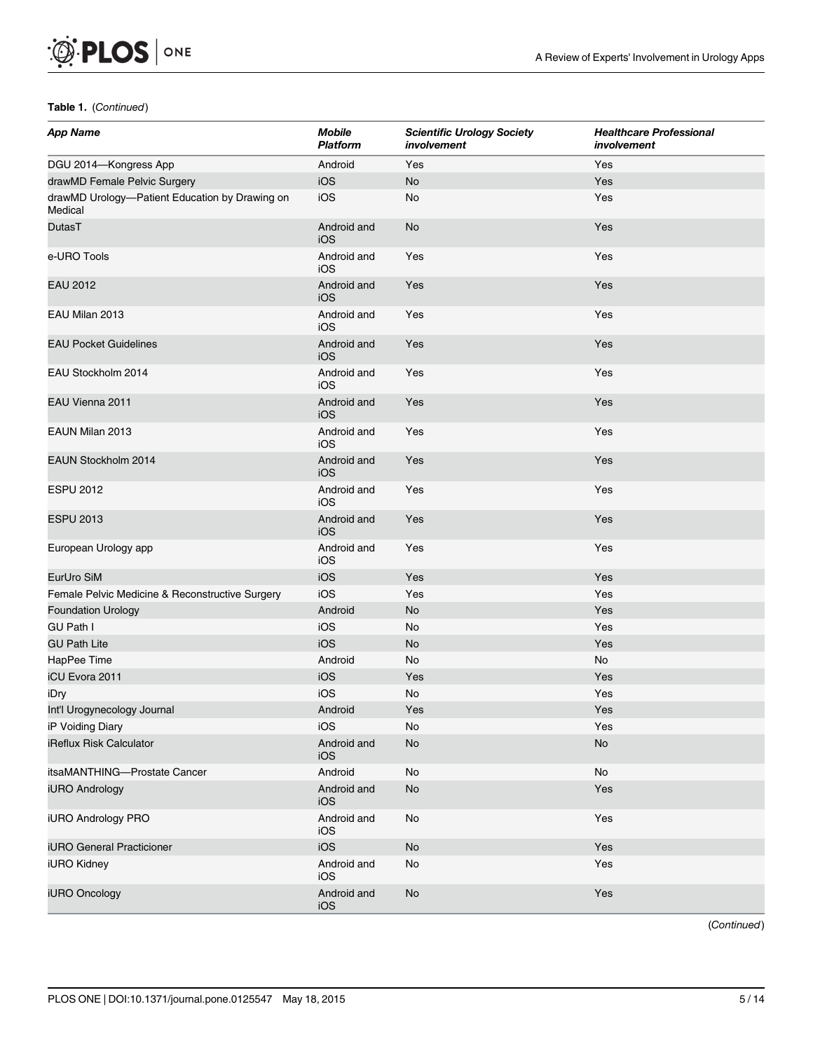| <b>App Name</b>                                           | <b>Mobile</b><br>Platform | <b>Scientific Urology Society</b><br>involvement | <b>Healthcare Professional</b><br>involvement |
|-----------------------------------------------------------|---------------------------|--------------------------------------------------|-----------------------------------------------|
| DGU 2014-Kongress App                                     | Android                   | Yes                                              | Yes                                           |
| drawMD Female Pelvic Surgery                              | iOS                       | No                                               | Yes                                           |
| drawMD Urology-Patient Education by Drawing on<br>Medical | iOS                       | No                                               | Yes                                           |
| DutasT                                                    | Android and<br><b>iOS</b> | <b>No</b>                                        | Yes                                           |
| e-URO Tools                                               | Android and<br>iOS        | Yes                                              | Yes                                           |
| <b>EAU 2012</b>                                           | Android and<br><b>iOS</b> | Yes                                              | Yes                                           |
| EAU Milan 2013                                            | Android and<br>iOS        | Yes                                              | Yes                                           |
| <b>EAU Pocket Guidelines</b>                              | Android and<br>iOS        | Yes                                              | Yes                                           |
| EAU Stockholm 2014                                        | Android and<br>iOS        | Yes                                              | Yes                                           |
| EAU Vienna 2011                                           | Android and<br><b>iOS</b> | Yes                                              | Yes                                           |
| EAUN Milan 2013                                           | Android and<br>iOS        | Yes                                              | Yes                                           |
| EAUN Stockholm 2014                                       | Android and<br><b>iOS</b> | Yes                                              | Yes                                           |
| <b>ESPU 2012</b>                                          | Android and<br>iOS        | Yes                                              | Yes                                           |
| <b>ESPU 2013</b>                                          | Android and<br>iOS        | Yes                                              | Yes                                           |
| European Urology app                                      | Android and<br>iOS        | Yes                                              | Yes                                           |
| EurUro SiM                                                | iOS                       | Yes                                              | Yes                                           |
| Female Pelvic Medicine & Reconstructive Surgery           | iOS                       | Yes                                              | Yes                                           |
| <b>Foundation Urology</b>                                 | Android                   | <b>No</b>                                        | Yes                                           |
| <b>GU Path I</b>                                          | iOS                       | No                                               | Yes                                           |
| <b>GU Path Lite</b>                                       | iOS                       | <b>No</b>                                        | Yes                                           |
| HapPee Time                                               | Android                   | <b>No</b>                                        | No                                            |
| <b>iCU Evora 2011</b>                                     | iOS                       | Yes                                              | Yes                                           |
| iDry                                                      | iOS                       | No                                               | Yes                                           |
| Int'l Urogynecology Journal                               | Android                   | Yes                                              | Yes                                           |
| iP Voiding Diary                                          | iOS                       | No                                               | Yes                                           |
| iReflux Risk Calculator                                   | Android and<br>iOS        | No                                               | No                                            |
| itsaMANTHING-Prostate Cancer                              | Android                   | $\mathsf{No}$                                    | $\operatorname{\mathsf{No}}$                  |
| <b>iURO Andrology</b>                                     | Android and<br>iOS        | $\mathsf{No}$                                    | Yes                                           |
| iURO Andrology PRO                                        | Android and<br>iOS        | No                                               | Yes                                           |
| <b>iURO</b> General Practicioner                          | iOS                       | <b>No</b>                                        | Yes                                           |
| <b>iURO Kidney</b>                                        | Android and<br>iOS        | No                                               | Yes                                           |
| iURO Oncology                                             | Android and<br>iOS        | No                                               | Yes                                           |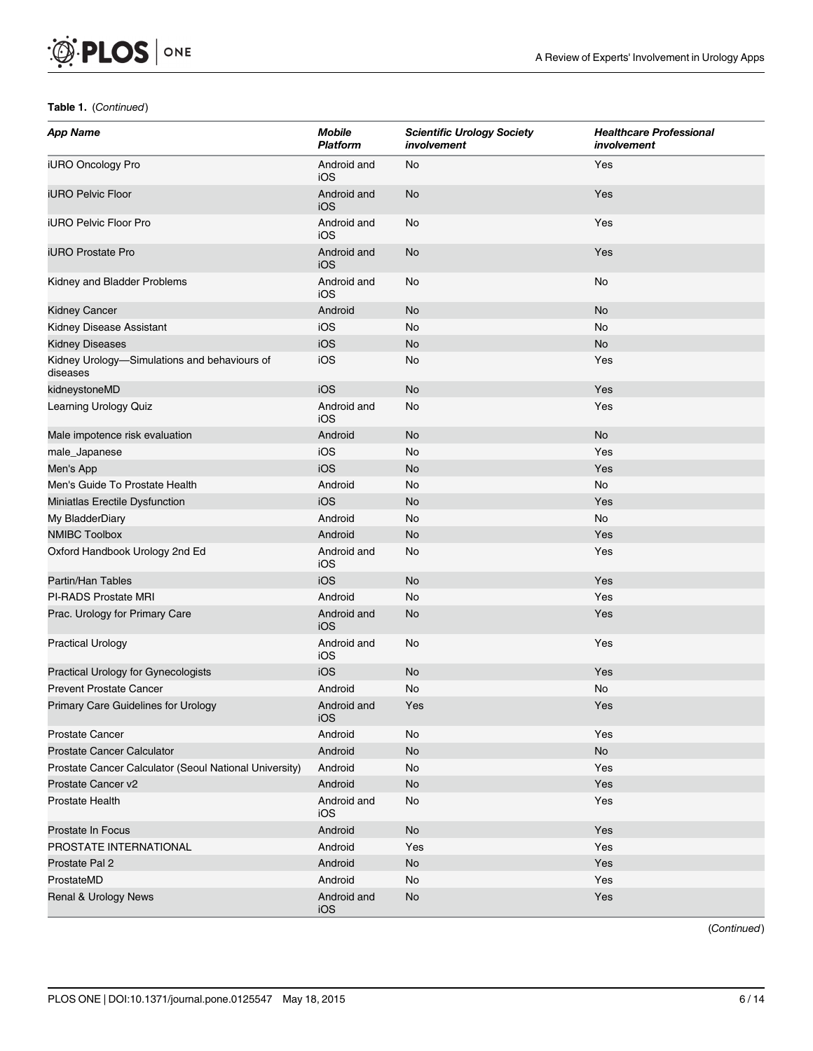$\mathcal{D}$  PLOS  $\vert$  one

| <b>App Name</b>                                          | <b>Mobile</b><br><b>Platform</b> | <b>Scientific Urology Society</b><br>involvement | <b>Healthcare Professional</b><br>involvement |
|----------------------------------------------------------|----------------------------------|--------------------------------------------------|-----------------------------------------------|
| iURO Oncology Pro                                        | Android and<br>iOS               | No                                               | Yes                                           |
| <b>iURO Pelvic Floor</b>                                 | Android and<br><b>iOS</b>        | <b>No</b>                                        | Yes                                           |
| iURO Pelvic Floor Pro                                    | Android and<br>iOS               | No                                               | Yes                                           |
| <b>iURO Prostate Pro</b>                                 | Android and<br>iOS               | <b>No</b>                                        | Yes                                           |
| Kidney and Bladder Problems                              | Android and<br>iOS               | No                                               | No                                            |
| <b>Kidney Cancer</b>                                     | Android                          | <b>No</b>                                        | <b>No</b>                                     |
| Kidney Disease Assistant                                 | iOS                              | No                                               | No                                            |
| <b>Kidney Diseases</b>                                   | iOS                              | <b>No</b>                                        | No                                            |
| Kidney Urology-Simulations and behaviours of<br>diseases | iOS                              | No                                               | Yes                                           |
| kidneystoneMD                                            | iOS                              | <b>No</b>                                        | Yes                                           |
| Learning Urology Quiz                                    | Android and<br>iOS               | No                                               | Yes                                           |
| Male impotence risk evaluation                           | Android                          | <b>No</b>                                        | <b>No</b>                                     |
| male_Japanese                                            | iOS                              | No                                               | Yes                                           |
| Men's App                                                | iOS                              | <b>No</b>                                        | Yes                                           |
| Men's Guide To Prostate Health                           | Android                          | No                                               | No                                            |
| Miniatlas Erectile Dysfunction                           | iOS                              | <b>No</b>                                        | Yes                                           |
| My BladderDiary                                          | Android                          | No                                               | No                                            |
| <b>NMIBC Toolbox</b>                                     | Android                          | <b>No</b>                                        | Yes                                           |
| Oxford Handbook Urology 2nd Ed                           | Android and<br>iOS               | No                                               | Yes                                           |
| Partin/Han Tables                                        | iOS                              | <b>No</b>                                        | Yes                                           |
| PI-RADS Prostate MRI                                     | Android                          | No                                               | Yes                                           |
| Prac. Urology for Primary Care                           | Android and<br>iOS               | <b>No</b>                                        | Yes                                           |
| <b>Practical Urology</b>                                 | Android and<br>iOS               | No                                               | Yes                                           |
| Practical Urology for Gynecologists                      | iOS                              | <b>No</b>                                        | Yes                                           |
| <b>Prevent Prostate Cancer</b>                           | Android                          | No                                               | No                                            |
| Primary Care Guidelines for Urology                      | Android and<br>iOS               | Yes                                              | Yes                                           |
| <b>Prostate Cancer</b>                                   | Android                          | No                                               | Yes                                           |
| <b>Prostate Cancer Calculator</b>                        | Android                          | No                                               | No                                            |
| Prostate Cancer Calculator (Seoul National University)   | Android                          | No                                               | Yes                                           |
| Prostate Cancer v2                                       | Android                          | <b>No</b>                                        | Yes                                           |
| Prostate Health                                          | Android and<br>iOS               | No                                               | Yes                                           |
| Prostate In Focus                                        | Android                          | No                                               | Yes                                           |
| PROSTATE INTERNATIONAL                                   | Android                          | Yes                                              | Yes                                           |
| Prostate Pal 2                                           | Android                          | <b>No</b>                                        | Yes                                           |
| ProstateMD                                               | Android                          | No                                               | Yes                                           |
| Renal & Urology News                                     | Android and<br>iOS               | No                                               | Yes                                           |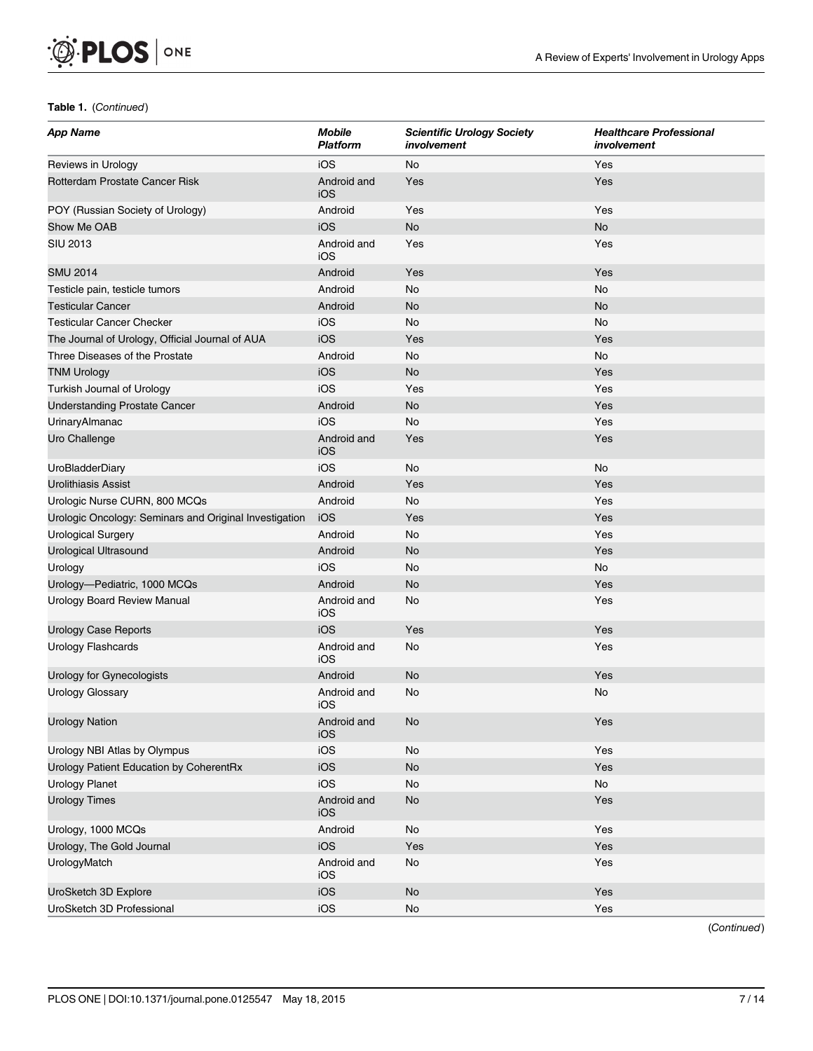$\mathcal{D}$  PLOS  $\vert$  one

| <b>App Name</b>                                        | <b>Mobile</b><br><b>Platform</b> | <b>Scientific Urology Society</b><br>involvement | <b>Healthcare Professional</b><br>involvement |
|--------------------------------------------------------|----------------------------------|--------------------------------------------------|-----------------------------------------------|
| Reviews in Urology                                     | iOS                              | No                                               | Yes                                           |
| Rotterdam Prostate Cancer Risk                         | Android and<br>iOS               | Yes                                              | Yes                                           |
| POY (Russian Society of Urology)                       | Android                          | Yes                                              | Yes                                           |
| Show Me OAB                                            | iOS                              | <b>No</b>                                        | <b>No</b>                                     |
| <b>SIU 2013</b>                                        | Android and<br>iOS               | Yes                                              | Yes                                           |
| <b>SMU 2014</b>                                        | Android                          | Yes                                              | Yes                                           |
| Testicle pain, testicle tumors                         | Android                          | No                                               | No                                            |
| <b>Testicular Cancer</b>                               | Android                          | <b>No</b>                                        | <b>No</b>                                     |
| <b>Testicular Cancer Checker</b>                       | iOS                              | No                                               | No                                            |
| The Journal of Urology, Official Journal of AUA        | iOS                              | Yes                                              | Yes                                           |
| Three Diseases of the Prostate                         | Android                          | No                                               | No                                            |
| <b>TNM Urology</b>                                     | iOS                              | <b>No</b>                                        | Yes                                           |
| Turkish Journal of Urology                             | iOS                              | Yes                                              | Yes                                           |
| <b>Understanding Prostate Cancer</b>                   | Android                          | No                                               | Yes                                           |
| <b>UrinaryAlmanac</b>                                  | iOS                              | No                                               | Yes                                           |
| Uro Challenge                                          | Android and<br>iOS               | Yes                                              | Yes                                           |
| UroBladderDiary                                        | iOS                              | No                                               | No                                            |
| <b>Urolithiasis Assist</b>                             | Android                          | Yes                                              | Yes                                           |
| Urologic Nurse CURN, 800 MCQs                          | Android                          | No                                               | Yes                                           |
| Urologic Oncology: Seminars and Original Investigation | iOS                              | Yes                                              | Yes                                           |
| <b>Urological Surgery</b>                              | Android                          | No                                               | Yes                                           |
| Urological Ultrasound                                  | Android                          | <b>No</b>                                        | Yes                                           |
| Urology                                                | iOS                              | No                                               | No                                            |
| Urology-Pediatric, 1000 MCQs                           | Android                          | <b>No</b>                                        | Yes                                           |
| Urology Board Review Manual                            | Android and<br>iOS               | No                                               | Yes                                           |
| <b>Urology Case Reports</b>                            | iOS                              | Yes                                              | Yes                                           |
| <b>Urology Flashcards</b>                              | Android and<br>iOS               | No                                               | Yes                                           |
| Urology for Gynecologists                              | Android                          | <b>No</b>                                        | Yes                                           |
| <b>Urology Glossary</b>                                | Android and<br>iOS               | No                                               | <b>No</b>                                     |
| <b>Urology Nation</b>                                  | Android and<br>iOS               | No                                               | Yes                                           |
| Urology NBI Atlas by Olympus                           | iOS                              | $\mathsf{No}$                                    | Yes                                           |
| Urology Patient Education by CoherentRx                | iOS                              | No                                               | Yes                                           |
| <b>Urology Planet</b>                                  | iOS                              | No                                               | No                                            |
| <b>Urology Times</b>                                   | Android and<br>iOS               | No                                               | Yes                                           |
| Urology, 1000 MCQs                                     | Android                          | $\mathsf{No}$                                    | Yes                                           |
| Urology, The Gold Journal                              | iOS                              | Yes                                              | Yes                                           |
| UrologyMatch                                           | Android and<br>iOS               | No                                               | Yes                                           |
| UroSketch 3D Explore                                   | iOS                              | No                                               | Yes                                           |
| UroSketch 3D Professional                              | iOS                              | No                                               | Yes                                           |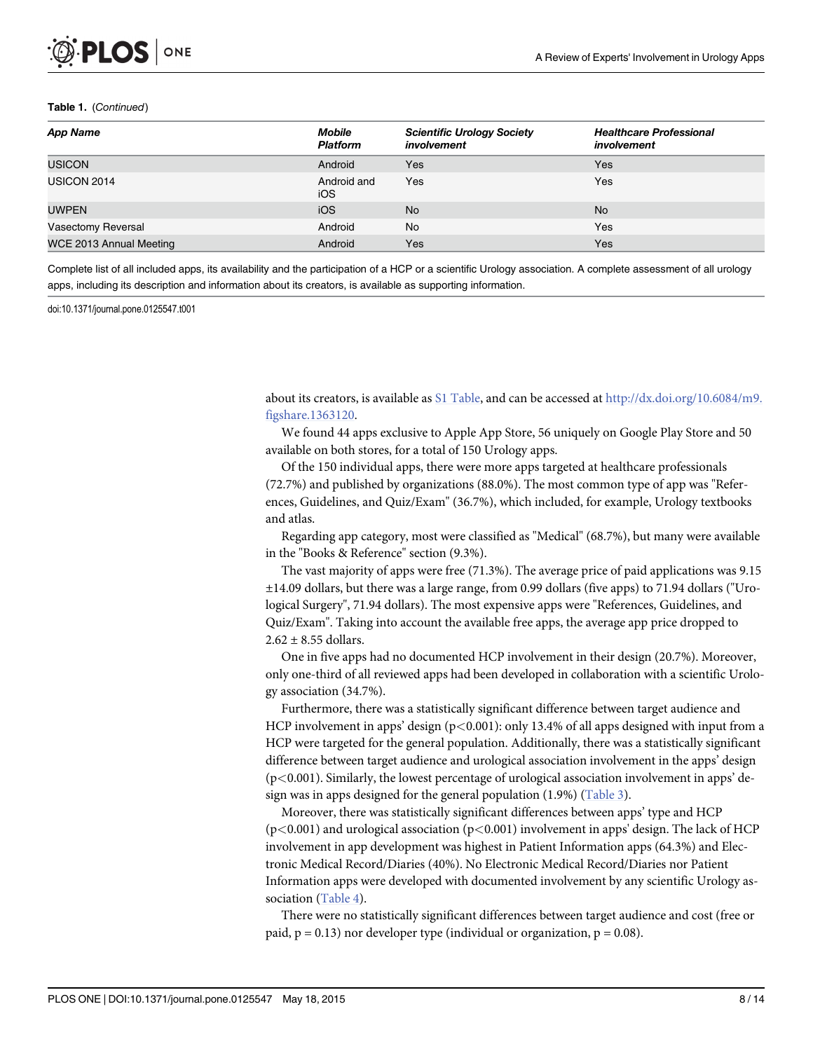<span id="page-7-0"></span>

| <b>App Name</b>           | Mobile<br><b>Scientific Urology Society</b><br>involvement<br><b>Platform</b> |            | <b>Healthcare Professional</b><br>involvement |  |
|---------------------------|-------------------------------------------------------------------------------|------------|-----------------------------------------------|--|
| <b>USICON</b>             | Android                                                                       | Yes        | Yes                                           |  |
| <b>USICON 2014</b>        | Android and<br>iOS                                                            | Yes        | Yes                                           |  |
| <b>UWPEN</b>              | iOS                                                                           | <b>No</b>  | <b>No</b>                                     |  |
| <b>Vasectomy Reversal</b> | Android                                                                       | <b>No</b>  | Yes                                           |  |
| WCE 2013 Annual Meeting   | Android                                                                       | <b>Yes</b> | Yes                                           |  |

Complete list of all included apps, its availability and the participation of a HCP or a scientific Urology association. A complete assessment of all urology apps, including its description and information about its creators, is available as supporting information.

doi:10.1371/journal.pone.0125547.t001

about its creators, is available as  $S1$  Table, and can be accessed at  $\frac{http://dx.doi.org/10.6084/m9.}{http://dx.doi.org/10.6084/m9.}$  $\frac{http://dx.doi.org/10.6084/m9.}{http://dx.doi.org/10.6084/m9.}$  $\frac{http://dx.doi.org/10.6084/m9.}{http://dx.doi.org/10.6084/m9.}$ [figshare.1363120](http://dx.doi.org/10.6084/m9.figshare.1363120).

We found 44 apps exclusive to Apple App Store, 56 uniquely on Google Play Store and 50 available on both stores, for a total of 150 Urology apps.

Of the 150 individual apps, there were more apps targeted at healthcare professionals (72.7%) and published by organizations (88.0%). The most common type of app was "References, Guidelines, and Quiz/Exam" (36.7%), which included, for example, Urology textbooks and atlas.

Regarding app category, most were classified as "Medical" (68.7%), but many were available in the "Books & Reference" section (9.3%).

The vast majority of apps were free (71.3%). The average price of paid applications was 9.15 ±14.09 dollars, but there was a large range, from 0.99 dollars (five apps) to 71.94 dollars ("Urological Surgery", 71.94 dollars). The most expensive apps were "References, Guidelines, and Quiz/Exam". Taking into account the available free apps, the average app price dropped to  $2.62 \pm 8.55$  dollars.

One in five apps had no documented HCP involvement in their design (20.7%). Moreover, only one-third of all reviewed apps had been developed in collaboration with a scientific Urology association (34.7%).

Furthermore, there was a statistically significant difference between target audience and HCP involvement in apps' design  $(p<0.001)$ : only 13.4% of all apps designed with input from a HCP were targeted for the general population. Additionally, there was a statistically significant difference between target audience and urological association involvement in the apps' design  $(p<0.001)$ . Similarly, the lowest percentage of urological association involvement in apps' design was in apps designed for the general population  $(1.9\%)$  ([Table 3\)](#page-10-0).

Moreover, there was statistically significant differences between apps' type and HCP  $(p<0.001)$  and urological association  $(p<0.001)$  involvement in apps' design. The lack of HCP involvement in app development was highest in Patient Information apps (64.3%) and Electronic Medical Record/Diaries (40%). No Electronic Medical Record/Diaries nor Patient Information apps were developed with documented involvement by any scientific Urology as-sociation ([Table 4\)](#page-10-0).

There were no statistically significant differences between target audience and cost (free or paid,  $p = 0.13$ ) nor developer type (individual or organization,  $p = 0.08$ ).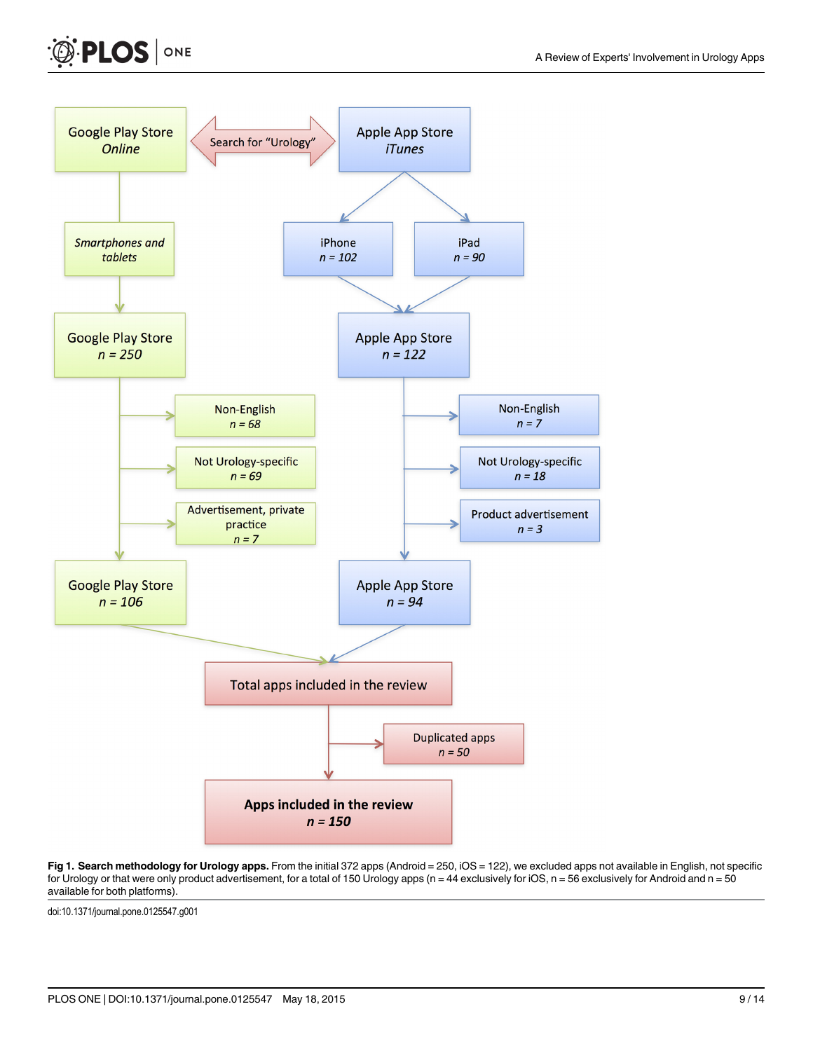<span id="page-8-0"></span>



[Fig 1. S](#page-2-0)earch methodology for Urology apps. From the initial 372 apps (Android = 250, iOS = 122), we excluded apps not available in English, not specific for Urology or that were only product advertisement, for a total of 150 Urology apps (n = 44 exclusively for iOS, n = 56 exclusively for Android and n = 50 available for both platforms).

doi:10.1371/journal.pone.0125547.g001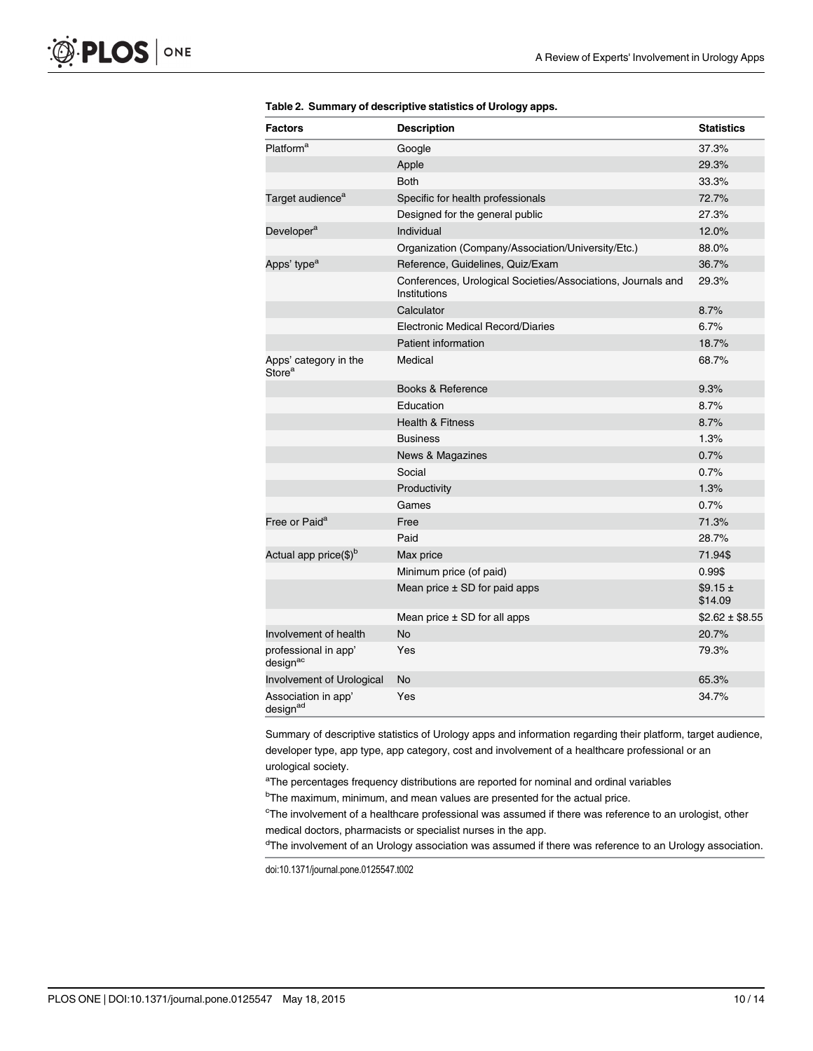| <b>Factors</b>                              | <b>Description</b>                                                           | <b>Statistics</b>      |
|---------------------------------------------|------------------------------------------------------------------------------|------------------------|
| Platform <sup>a</sup>                       | Google                                                                       | 37.3%                  |
|                                             | Apple                                                                        | 29.3%                  |
|                                             | <b>Both</b>                                                                  | 33.3%                  |
| Target audience <sup>a</sup>                | Specific for health professionals                                            | 72.7%                  |
|                                             | Designed for the general public                                              | 27.3%                  |
| Developer <sup>a</sup>                      | Individual                                                                   | 12.0%                  |
|                                             | Organization (Company/Association/University/Etc.)                           | 88.0%                  |
| Apps' type <sup>a</sup>                     | Reference, Guidelines, Quiz/Exam                                             | 36.7%                  |
|                                             | Conferences, Urological Societies/Associations, Journals and<br>Institutions | 29.3%                  |
|                                             | Calculator                                                                   | 8.7%                   |
|                                             | Electronic Medical Record/Diaries                                            | 6.7%                   |
|                                             | <b>Patient information</b>                                                   | 18.7%                  |
| Apps' category in the<br>Store <sup>a</sup> | Medical                                                                      | 68.7%                  |
|                                             | Books & Reference                                                            | 9.3%                   |
|                                             | Education                                                                    | 8.7%                   |
|                                             | <b>Health &amp; Fitness</b>                                                  | 8.7%                   |
|                                             | <b>Business</b>                                                              | 1.3%                   |
|                                             | <b>News &amp; Magazines</b>                                                  | 0.7%                   |
|                                             | Social                                                                       | 0.7%                   |
|                                             | Productivity                                                                 | 1.3%                   |
|                                             | Games                                                                        | 0.7%                   |
| Free or Paid <sup>a</sup>                   | Free                                                                         | 71.3%                  |
|                                             | Paid                                                                         | 28.7%                  |
| Actual app price(\$) <sup>b</sup>           | Max price                                                                    | 71.94\$                |
|                                             | Minimum price (of paid)                                                      | 0.99\$                 |
|                                             | Mean price $\pm$ SD for paid apps                                            | $$9.15 \pm$<br>\$14.09 |
|                                             | Mean price $\pm$ SD for all apps                                             | $$2.62 \pm $8.55$      |
| Involvement of health                       | <b>No</b>                                                                    | 20.7%                  |
| professional in app'<br>designac            | Yes                                                                          | 79.3%                  |
| Involvement of Urological                   | <b>No</b>                                                                    | 65.3%                  |
| Association in app'<br>designad             | Yes                                                                          | 34.7%                  |

<span id="page-9-0"></span>

|  |  |  | Table 2. Summary of descriptive statistics of Urology apps. |
|--|--|--|-------------------------------------------------------------|
|--|--|--|-------------------------------------------------------------|

Summary of descriptive statistics of Urology apps and information regarding their platform, target audience, developer type, app type, app category, cost and involvement of a healthcare professional or an urological society.

<sup>a</sup>The percentages frequency distributions are reported for nominal and ordinal variables

<sup>b</sup>The maximum, minimum, and mean values are presented for the actual price.

<sup>c</sup>The involvement of a healthcare professional was assumed if there was reference to an urologist, other medical doctors, pharmacists or specialist nurses in the app.

<sup>d</sup>The involvement of an Urology association was assumed if there was reference to an Urology association.

doi:10.1371/journal.pone.0125547.t002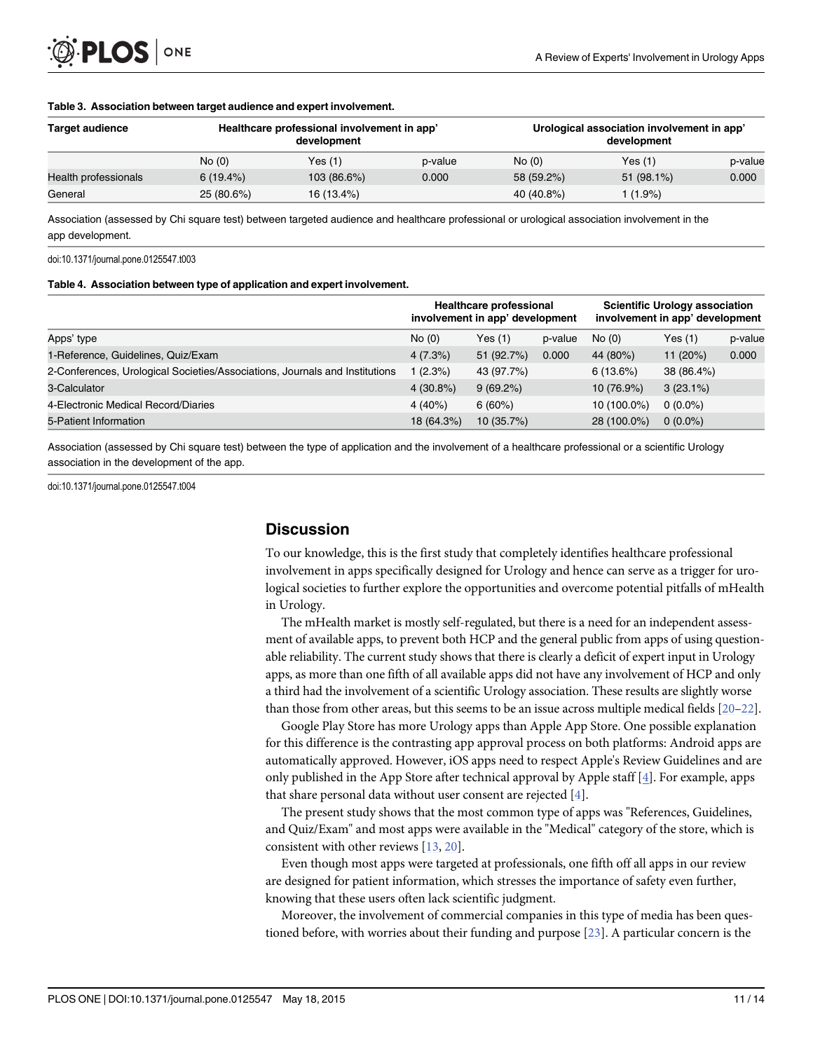<span id="page-10-0"></span>

#### [Table 3.](#page-7-0) Association between target audience and expert involvement.

| <b>Target audience</b> | Healthcare professional involvement in app'<br>development |             |         | Urological association involvement in app'<br>development |            |         |  |
|------------------------|------------------------------------------------------------|-------------|---------|-----------------------------------------------------------|------------|---------|--|
|                        | No(0)                                                      | Yes(1)      | p-value | No(0)                                                     | Yes(1)     | p-value |  |
| Health professionals   | 6(19.4%)                                                   | 103 (86.6%) | 0.000   | 58 (59.2%)                                                | 51 (98.1%) | 0.000   |  |
| General                | 25 (80.6%)                                                 | 16 (13.4%)  |         | 40 (40.8%)                                                | $(1.9\%)$  |         |  |

Association (assessed by Chi square test) between targeted audience and healthcare professional or urological association involvement in the app development.

doi:10.1371/journal.pone.0125547.t003

#### [Table 4.](#page-7-0) Association between type of application and expert involvement.

|                                                                             | <b>Healthcare professional</b><br>involvement in app' development |             |         | <b>Scientific Urology association</b><br>involvement in app' development |             |         |
|-----------------------------------------------------------------------------|-------------------------------------------------------------------|-------------|---------|--------------------------------------------------------------------------|-------------|---------|
| Apps' type                                                                  | No(0)                                                             | Yes(1)      | p-value | No(0)                                                                    | Yes (1)     | p-value |
| 1-Reference, Guidelines, Quiz/Exam                                          | 4(7.3%)                                                           | 51 (92.7%)  | 0.000   | 44 (80%)                                                                 | 11 $(20%)$  | 0.000   |
| 2-Conferences, Urological Societies/Associations, Journals and Institutions | $(2.3\%)$                                                         | 43 (97.7%)  |         | 6(13.6%)                                                                 | 38 (86.4%)  |         |
| 3-Calculator                                                                | $4(30.8\%)$                                                       | $9(69.2\%)$ |         | 10 (76.9%)                                                               | $3(23.1\%)$ |         |
| 4-Electronic Medical Record/Diaries                                         | $4(40\%)$                                                         | 6(60%)      |         | 10 (100.0%)                                                              | $0(0.0\%)$  |         |
| 5-Patient Information                                                       | 18 (64.3%)                                                        | 10(35.7%)   |         | 28 (100.0%)                                                              | $0(0.0\%)$  |         |

Association (assessed by Chi square test) between the type of application and the involvement of a healthcare professional or a scientific Urology association in the development of the app.

doi:10.1371/journal.pone.0125547.t004

## **Discussion**

To our knowledge, this is the first study that completely identifies healthcare professional involvement in apps specifically designed for Urology and hence can serve as a trigger for urological societies to further explore the opportunities and overcome potential pitfalls of mHealth in Urology.

The mHealth market is mostly self-regulated, but there is a need for an independent assessment of available apps, to prevent both HCP and the general public from apps of using questionable reliability. The current study shows that there is clearly a deficit of expert input in Urology apps, as more than one fifth of all available apps did not have any involvement of HCP and only a third had the involvement of a scientific Urology association. These results are slightly worse than those from other areas, but this seems to be an issue across multiple medical fields  $[20-22]$  $[20-22]$  $[20-22]$ .

Google Play Store has more Urology apps than Apple App Store. One possible explanation for this difference is the contrasting app approval process on both platforms: Android apps are automatically approved. However, iOS apps need to respect Apple's Review Guidelines and are only published in the App Store after technical approval by Apple staff [[4\]](#page-12-0). For example, apps that share personal data without user consent are rejected  $[4]$  $[4]$ .

The present study shows that the most common type of apps was "References, Guidelines, and Quiz/Exam" and most apps were available in the "Medical" category of the store, which is consistent with other reviews  $[13, 20]$  $[13, 20]$  $[13, 20]$  $[13, 20]$  $[13, 20]$ .

Even though most apps were targeted at professionals, one fifth off all apps in our review are designed for patient information, which stresses the importance of safety even further, knowing that these users often lack scientific judgment.

Moreover, the involvement of commercial companies in this type of media has been questioned before, with worries about their funding and purpose [[23\]](#page-13-0). A particular concern is the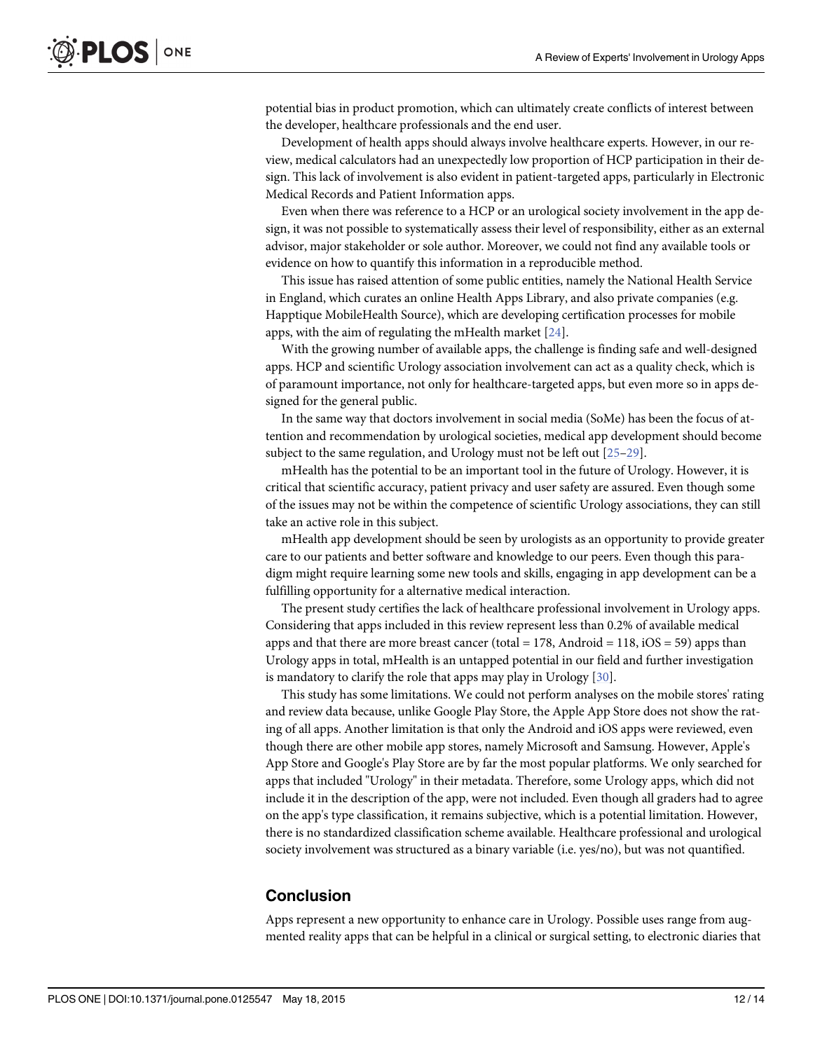<span id="page-11-0"></span>potential bias in product promotion, which can ultimately create conflicts of interest between the developer, healthcare professionals and the end user.

Development of health apps should always involve healthcare experts. However, in our review, medical calculators had an unexpectedly low proportion of HCP participation in their design. This lack of involvement is also evident in patient-targeted apps, particularly in Electronic Medical Records and Patient Information apps.

Even when there was reference to a HCP or an urological society involvement in the app design, it was not possible to systematically assess their level of responsibility, either as an external advisor, major stakeholder or sole author. Moreover, we could not find any available tools or evidence on how to quantify this information in a reproducible method.

This issue has raised attention of some public entities, namely the National Health Service in England, which curates an online Health Apps Library, and also private companies (e.g. Happtique MobileHealth Source), which are developing certification processes for mobile apps, with the aim of regulating the mHealth market [\[24\]](#page-13-0).

With the growing number of available apps, the challenge is finding safe and well-designed apps. HCP and scientific Urology association involvement can act as a quality check, which is of paramount importance, not only for healthcare-targeted apps, but even more so in apps designed for the general public.

In the same way that doctors involvement in social media (SoMe) has been the focus of attention and recommendation by urological societies, medical app development should become subject to the same regulation, and Urology must not be left out [\[25](#page-13-0)-[29\]](#page-13-0).

mHealth has the potential to be an important tool in the future of Urology. However, it is critical that scientific accuracy, patient privacy and user safety are assured. Even though some of the issues may not be within the competence of scientific Urology associations, they can still take an active role in this subject.

mHealth app development should be seen by urologists as an opportunity to provide greater care to our patients and better software and knowledge to our peers. Even though this paradigm might require learning some new tools and skills, engaging in app development can be a fulfilling opportunity for a alternative medical interaction.

The present study certifies the lack of healthcare professional involvement in Urology apps. Considering that apps included in this review represent less than 0.2% of available medical apps and that there are more breast cancer (total  $= 178$ , Android  $= 118$ , iOS  $= 59$ ) apps than Urology apps in total, mHealth is an untapped potential in our field and further investigation is mandatory to clarify the role that apps may play in Urology [\[30\]](#page-13-0).

This study has some limitations. We could not perform analyses on the mobile stores' rating and review data because, unlike Google Play Store, the Apple App Store does not show the rating of all apps. Another limitation is that only the Android and iOS apps were reviewed, even though there are other mobile app stores, namely Microsoft and Samsung. However, Apple's App Store and Google's Play Store are by far the most popular platforms. We only searched for apps that included "Urology" in their metadata. Therefore, some Urology apps, which did not include it in the description of the app, were not included. Even though all graders had to agree on the app's type classification, it remains subjective, which is a potential limitation. However, there is no standardized classification scheme available. Healthcare professional and urological society involvement was structured as a binary variable (i.e. yes/no), but was not quantified.

# Conclusion

Apps represent a new opportunity to enhance care in Urology. Possible uses range from augmented reality apps that can be helpful in a clinical or surgical setting, to electronic diaries that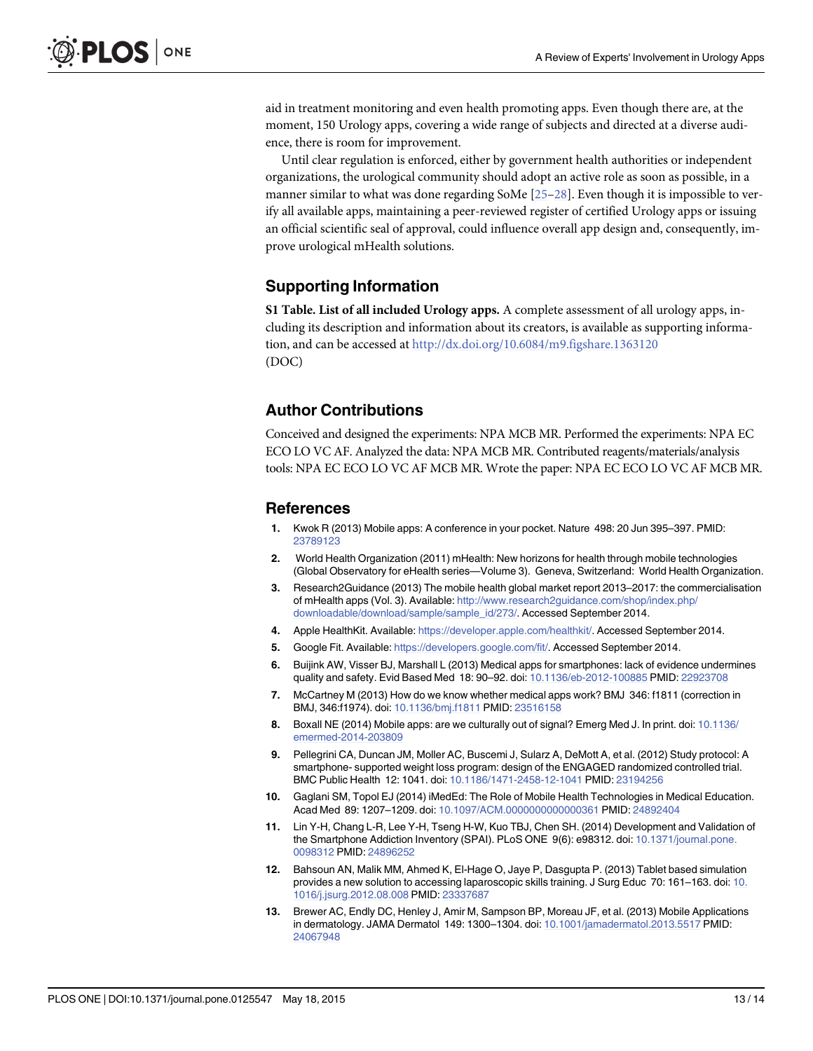<span id="page-12-0"></span>aid in treatment monitoring and even health promoting apps. Even though there are, at the moment, 150 Urology apps, covering a wide range of subjects and directed at a diverse audience, there is room for improvement.

Until clear regulation is enforced, either by government health authorities or independent organizations, the urological community should adopt an active role as soon as possible, in a manner similar to what was done regarding SoMe [[25](#page-13-0)–[28](#page-13-0)]. Even though it is impossible to verify all available apps, maintaining a peer-reviewed register of certified Urology apps or issuing an official scientific seal of approval, could influence overall app design and, consequently, improve urological mHealth solutions.

# Supporting Information

[S1 Table](http://www.plosone.org/article/fetchSingleRepresentation.action?uri=info:doi/10.1371/journal.pone.0125547.s001). List of all included Urology apps. A complete assessment of all urology apps, including its description and information about its creators, is available as supporting information, and can be accessed at <http://dx.doi.org/10.6084/m9.figshare.1363120> (DOC)

# Author Contributions

Conceived and designed the experiments: NPA MCB MR. Performed the experiments: NPA EC ECO LO VC AF. Analyzed the data: NPA MCB MR. Contributed reagents/materials/analysis tools: NPA EC ECO LO VC AF MCB MR. Wrote the paper: NPA EC ECO LO VC AF MCB MR.

#### References

- [1.](#page-1-0) Kwok R (2013) Mobile apps: A conference in your pocket. Nature 498: 20 Jun 395–397. PMID: [23789123](http://www.ncbi.nlm.nih.gov/pubmed/23789123)
- [2.](#page-1-0) World Health Organization (2011) mHealth: New horizons for health through mobile technologies (Global Observatory for eHealth series—Volume 3). Geneva, Switzerland: World Health Organization.
- [3.](#page-1-0) Research2Guidance (2013) The mobile health global market report 2013–2017: the commercialisation of mHealth apps (Vol. 3). Available: [http://www.research2guidance.com/shop/index.php/](http://www.research2guidance.com/shop/index.php/downloadable/download/sample/sample_id/273/) [downloadable/download/sample/sample\\_id/273/](http://www.research2guidance.com/shop/index.php/downloadable/download/sample/sample_id/273/). Accessed September 2014.
- [4.](#page-1-0) Apple HealthKit. Available: [https://developer.apple.com/healthkit/.](https://developer.apple.com/healthkit/) Accessed September 2014.
- [5.](#page-1-0) Google Fit. Available: [https://developers.google.com/fit/.](https://developers.google.com/fit/) Accessed September 2014.
- [6.](#page-1-0) Buijink AW, Visser BJ, Marshall L (2013) Medical apps for smartphones: lack of evidence undermines quality and safety. Evid Based Med 18: 90–92. doi: [10.1136/eb-2012-100885](http://dx.doi.org/10.1136/eb-2012-100885) PMID: [22923708](http://www.ncbi.nlm.nih.gov/pubmed/22923708)
- 7. McCartney M (2013) How do we know whether medical apps work? BMJ 346: f1811 (correction in BMJ, 346:f1974). doi: [10.1136/bmj.f1811](http://dx.doi.org/10.1136/bmj.f1811) PMID: [23516158](http://www.ncbi.nlm.nih.gov/pubmed/23516158)
- [8.](#page-1-0) Boxall NE (2014) Mobile apps: are we culturally out of signal? Emerg Med J. In print. doi: [10.1136/](http://dx.doi.org/10.1136/emermed-2014-203809) [emermed-2014-203809](http://dx.doi.org/10.1136/emermed-2014-203809)
- [9.](#page-1-0) Pellegrini CA, Duncan JM, Moller AC, Buscemi J, Sularz A, DeMott A, et al. (2012) Study protocol: A smartphone- supported weight loss program: design of the ENGAGED randomized controlled trial. BMC Public Health 12: 1041. doi: [10.1186/1471-2458-12-1041](http://dx.doi.org/10.1186/1471-2458-12-1041) PMID: [23194256](http://www.ncbi.nlm.nih.gov/pubmed/23194256)
- 10. Gaglani SM, Topol EJ (2014) iMedEd: The Role of Mobile Health Technologies in Medical Education. Acad Med 89: 1207–1209. doi: [10.1097/ACM.0000000000000361](http://dx.doi.org/10.1097/ACM.0000000000000361) PMID: [24892404](http://www.ncbi.nlm.nih.gov/pubmed/24892404)
- 11. Lin Y-H, Chang L-R, Lee Y-H, Tseng H-W, Kuo TBJ, Chen SH. (2014) Development and Validation of the Smartphone Addiction Inventory (SPAI). PLoS ONE 9(6): e98312. doi: [10.1371/journal.pone.](http://dx.doi.org/10.1371/journal.pone.0098312) [0098312](http://dx.doi.org/10.1371/journal.pone.0098312) PMID: [24896252](http://www.ncbi.nlm.nih.gov/pubmed/24896252)
- [12.](#page-1-0) Bahsoun AN, Malik MM, Ahmed K, El-Hage O, Jaye P, Dasgupta P. (2013) Tablet based simulation provides a new solution to accessing laparoscopic skills training. J Surg Educ 70: 161–163. doi: [10.](http://dx.doi.org/10.1016/j.jsurg.2012.08.008) [1016/j.jsurg.2012.08.008](http://dx.doi.org/10.1016/j.jsurg.2012.08.008) PMID: [23337687](http://www.ncbi.nlm.nih.gov/pubmed/23337687)
- [13.](#page-1-0) Brewer AC, Endly DC, Henley J, Amir M, Sampson BP, Moreau JF, et al. (2013) Mobile Applications in dermatology. JAMA Dermatol 149: 1300–1304. doi: [10.1001/jamadermatol.2013.5517](http://dx.doi.org/10.1001/jamadermatol.2013.5517) PMID: [24067948](http://www.ncbi.nlm.nih.gov/pubmed/24067948)